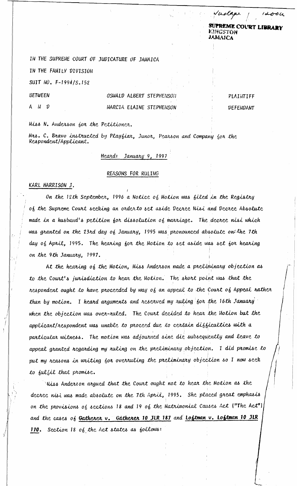SUPREME COURT LIBRARY АМАИ А

 $10u$ 

welgar

IN THE SUPREME COURT OF JUDICATURE OF JAMAICA

IN THE FAMILY DIVISION

SUIT NO. F-1994/S.152

**BETWEEN** 

N D

OSWALD ALBERT STEPHENSON MARCIA ELAINE STEPHENSON

PLAINTIFF **DEFENDANT** 

Miss N. Anderson for the Petitioner.

Mrs. C. Bravo instructed by Playfiar, Junor, Pearson and Company for the Respondent/Applicant.

## Heard: January 9, 1997

## REASONS FOR RULING

## KARL HARRISON J.

On the 12th September, 1996 a Notice of Motion was filed in the Registry of the Supreme Court seeking an order to set aside Decree Nisi and Decree Absolute made in a husband's petition for dissolution of marriage. The decree nisi which was granted on the 23rd day of January, 1995 was pronounced absolute on the 1th day of April, 1995. The hearing for the Motion to set aside was set for hearing on the 9th January, 1997.

At the hearing of the Motion, Miss Anderson made a preliminary objection as to the Court's jurisdiction to hear the Motion. The short point was that the respondent ought to have proceeded by way of an appeal to the Court of Appeal rather than by motion. I heard arguments and reserved my ruling for the 16th January when the objection was over-ruled. The Court decided to hear the Motion but the applicant/respondent was unable to proceed due to certain difficulties with a particular witness. The motion was adjourned sine die subsequently and leave to appeal granted regarding my ruling on the preliminary objection. I did promise to put my reasons in writing for overruling the preliminary objection so I now seek to fulfil that promise.

Miss Anderson argued that the Court ought not to hear the Motion as the decree nisi was made absolute on the 7th April, 1995. She placed great emphasis on the provisions of sections 18 and 19 of the Matrimonial Causes Act ("The Act") and the cases of Gatherer v. Gatherer 10 JLR 187 and Loftman v. Loftman 10 JLR 170. Section 18 of the Act states as follows: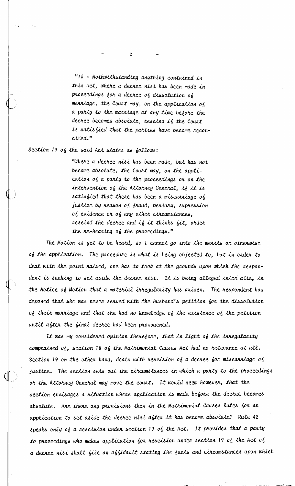"18 - Nothwithstanding anything contained in this Act, where a decree nisi has been made in proceedings for a decree of dissolution of marriage, the Court may, on the application of a party to the marriage at any time before the decree becomes absolute, rescind if the Court is satisfied that the parties have become reconciled."

 $\overline{2}$ 

Section 19 of the said Act states as follows:

"Where a decree nisi has been made, but has not become absolute, the Court may, on the application of a party to the proceedings or on the intervention of the Attorney General, if it is satisfied that there has been a miscarriage of justice by reason of fraud, perjury, supression of evidence or of any other circumstances, rescind the decree and if it thinks fit, order the re-hearing of the proceedings."

The Motion is yet to be heard, so I cannot go into the merits or otherwise of the application. The procedure is what is being objected to, but in onder to deal with the point raised, one has to look at the grounds upon which the respondent is seeking to set aside the decree nisi. It is being alleged inter alia, in the Notice of Motion that a material irregularity has arisen. The respondent has deponed that she was never served with the husband's petition for the dissolution of their marriage and that she had no knowledge of the existence of the petition until after the final decree had been pronoucned.

It was my considered opinion therefore, that in light of the irregularity complained of, section 18 of the Matrimonial Causes Act had no relevance at all. Section 19 on the other hand, deals with rescision of a decree for miscarriage of justice. The section sets out the circumstances in which a party to the proceedings or the Attorney General may move the court. It would seem however, that the section envisages a situation where application is made before the decree becomes absolute. Are there any provisions then in the Matrimonial Causes Rules for an application to set aside the decree nisi after it has become absolute? Rule 42 speaks only of a rescision under section 19 of the Act. It provides that a party to proceedings who makes application for rescision under section 19 of the Act of a decree nisi shall file an affidavit stating the facts and circumstances upon which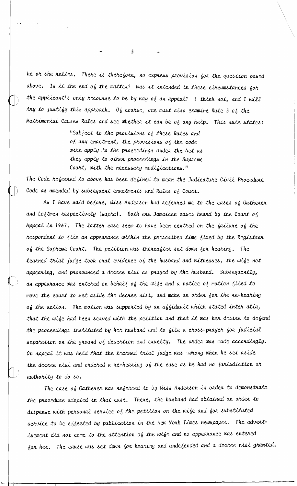he or she relies. There is therefore, no express provision for the question posed above. Is it the end of the matter? Was it intended in these circumstances for the applicant's only recourse to be by way of an appeal? I think not, and I will try to justify this approach. Of cowise, one must also examine Rule 3 of the Matrimonial Causes Rules and see whether it can be of any help. This rule states:

> "Subject to the provisions of these Rules and of any enactment, the provisions of the code will apply to the proceedings under the Act as they apply to other proceedings in the Supreme Court, with the necessary modifications."

The Code referred to above has been defined to mean the Judicature Civil Procedure Code as amended by subsequent enactments and Ruies of Court.

As I have said before, Miss Anderson had referred me to the cases of Gatherer and Loftmen respectively (supra). Both are Jamaican cases heard by the Court of Appeal in 1967. The latter case seem to have been centred on the failure of the respondent to file an appearance within the prescribed time fixed by the Registrar of the Supreme Court. The petition was thereafter set down for hearing. The learned trial judge took oral evidence of the husband and witnesses, the wife not appearing, and pronounced a decree nisi as prayed by the husband. Subsequently, an appearance was entered on behalf of the wife and a notice of motion filed to move the court to set aside the decree nisi, and make an order for the re-hearing of the action. The motion was supported by an affidavit which stated inter alia, that the wife had been served with the perition and that it was her desire to defend the proceedings instituted by her husband and to file a cross-prayer for judicial separation on the ground of desertion and cruelty. The order was made accordingly. On appeal it was held that the learned trial judge was wrong when he set aside the decree nisi and ondered a re-hearing of the case as he had no jurisdiction or authority to do so.

The case of Gatherer was referred to by Miss Anderson in order to demonstrate the procedure adopted in that case. There, the husband had obtained an order to dispense with personal service of the petition on the wife and for substituted service to be effected by publication in the New York Times newspaper. The advertisement did not come to the attention of the wife and no appearance was entered for her. The cause was set down for hearing and undefended and a decree nisi granted.

 $\overline{\mathbf{3}}$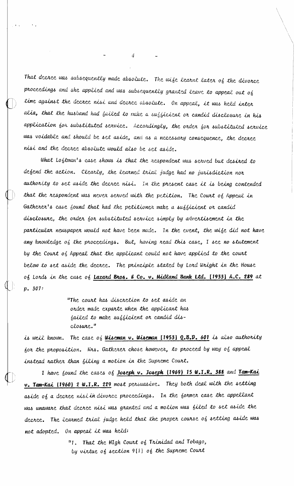That decree was subsequently made absolute. The wife learnt later of the divorce proceedings and she applied and was subsequently granted leave to appeal out of time against the decree nisi and decree absolute. On appeal, it was held inter alia, that the husband had failed to make a sufficient or candid disclosure in his application for substituted service. Accondingly, the order for substituted service was voidable and should be set aside, and as a necessary consequence, the decree nisi and the decree absolute would also be set aside.

What Loftman's case shows is that the respondent was served but desired to defend the action. Clearly, the learned trial judge had no jurisdiction nor authority to set aside the decree nisi. In the present case it is being contended that the respondent was never served with the petition. The Court of Appeal in Gatherer's case found that had the petitioner make a sufficient or candid disclosure, the order for substituted service simply by advertisement in the particular newspaper would not have been made. In the event, the wife did not have any knowledge  $o'_0$  the proceedings. But, having read this case, I see no statement by the Court of Appeal that the applicant could not have applied to the court below to set aside the decree. The principle stated by Lord Wright in the House of Lords in the case of Lazard Bros. & Co. v. Midland Bank Ltd. [1933] A.C. 289 at p. 307:

> "The court has discretion to set aside an order made exparte when the applicant has failed to make sufficient or candid disclosure."

is well known. The case of **Wiseman v. Wiseman [1953] Q.B.D. 601** is also authority for the proposition. Mrs. Gatherer chose however, to proceed by way of appeal instead rather than filing a motion in the Supreme Court.

I have found the cases of Joseph v. Joseph (1969) 15 W.I.R. 388 and Tam-Kai v. Tam-Kai (1960) 2 W.I.R. 229 most persuasive. They both deal with the setting aside of a decree nisi in divorce proceedings. In the former case the appellant was unaware that decree nisi was granted and a motion was filed to set aside the decree. The learned trial judge held that the proper course of setting aside was not adopted. On appeal it was held:

> "1. That the HIgh Court of Trinidad and Tobago, by virtue of section 9(1) of the Supreme Court

 $\mathcal{A}$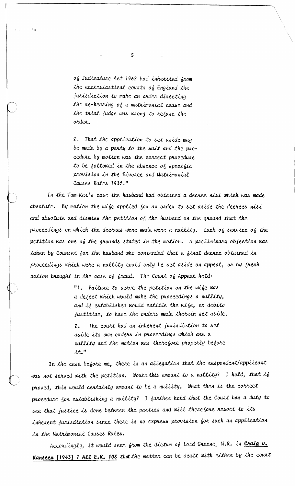of Judicature Act 1962 had inherited from the ecclesiastical courts of England the jurisdiction to make an order directing the re-hearing of a matrimonial cause and the trial judge was wrong to refuse the order.

5

2. That the application to set aside may be made by a party to the suit and the procedure by motion was the correct procedure to be followed in the absence of specific provision in the Divorce and Matrimonial Causes Rules 1932."

In the Tam-Kai's case the husband had obtained a decree nisi which was made absolute. By motion the wife applied for an order to set aside the decrees nisi and absolute and dismiss the petition of the husband on the ground that the proceedings on which the decrees were made were a nullity. Lack of service of the petition was one of the grounds stated in the motion. A preliminary objection was taken by Counsel for the husband who contended that a final decree obtained in proceedings which were a nullity could only be set aside on appeal, or by fresh action brought in the case of fraud. The Court of Appeal held:

> "1. Failure to serve the petition on the wife was a defect which would make the proceedings a nullity, and if established would entitle the wife, ex debito justitiae, to have the orders made therein set aside.

> The court had an inherent jurisdiction to set  $2.$ aside its own orders in proceedings which are a nullity and the motion was therefore properly before  $it.*$

In the case before me, there is an allegation that the respondent/applicant was not served with the petition. Would this amount to a nullity? I hold, that if proved, this would certainly amount to be a nullity. What then is the correct procedure for establishing a nullity? I further hold that the Court has a duty to see that justice is done between the parties and will therefore resort to its inherent jurisdiction since there is no express provision for such an application in the Matrimonial Causes Rules.

Accordingly, it would seem from the dictum of Lord Greene, M.R. in Craig v. Kanseen [1943] 1 All E.R. 108 that the matter can be dealt with either by the court